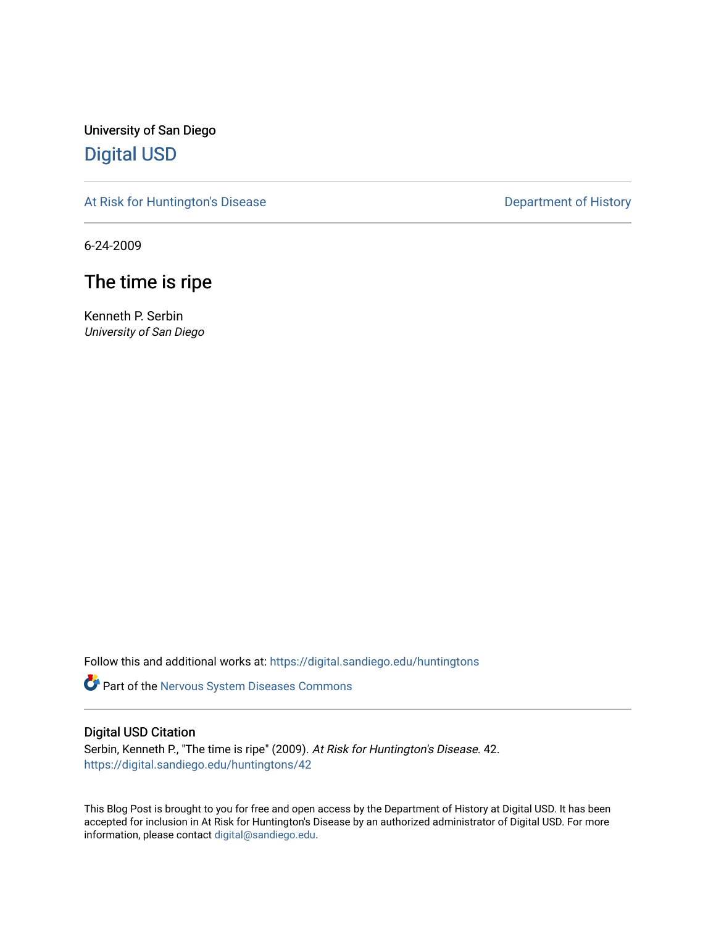University of San Diego [Digital USD](https://digital.sandiego.edu/)

[At Risk for Huntington's Disease](https://digital.sandiego.edu/huntingtons) **Department of History** Department of History

6-24-2009

# The time is ripe

Kenneth P. Serbin University of San Diego

Follow this and additional works at: [https://digital.sandiego.edu/huntingtons](https://digital.sandiego.edu/huntingtons?utm_source=digital.sandiego.edu%2Fhuntingtons%2F42&utm_medium=PDF&utm_campaign=PDFCoverPages)

**Part of the [Nervous System Diseases Commons](http://network.bepress.com/hgg/discipline/928?utm_source=digital.sandiego.edu%2Fhuntingtons%2F42&utm_medium=PDF&utm_campaign=PDFCoverPages)** 

# Digital USD Citation

Serbin, Kenneth P., "The time is ripe" (2009). At Risk for Huntington's Disease. 42. [https://digital.sandiego.edu/huntingtons/42](https://digital.sandiego.edu/huntingtons/42?utm_source=digital.sandiego.edu%2Fhuntingtons%2F42&utm_medium=PDF&utm_campaign=PDFCoverPages)

This Blog Post is brought to you for free and open access by the Department of History at Digital USD. It has been accepted for inclusion in At Risk for Huntington's Disease by an authorized administrator of Digital USD. For more information, please contact [digital@sandiego.edu.](mailto:digital@sandiego.edu)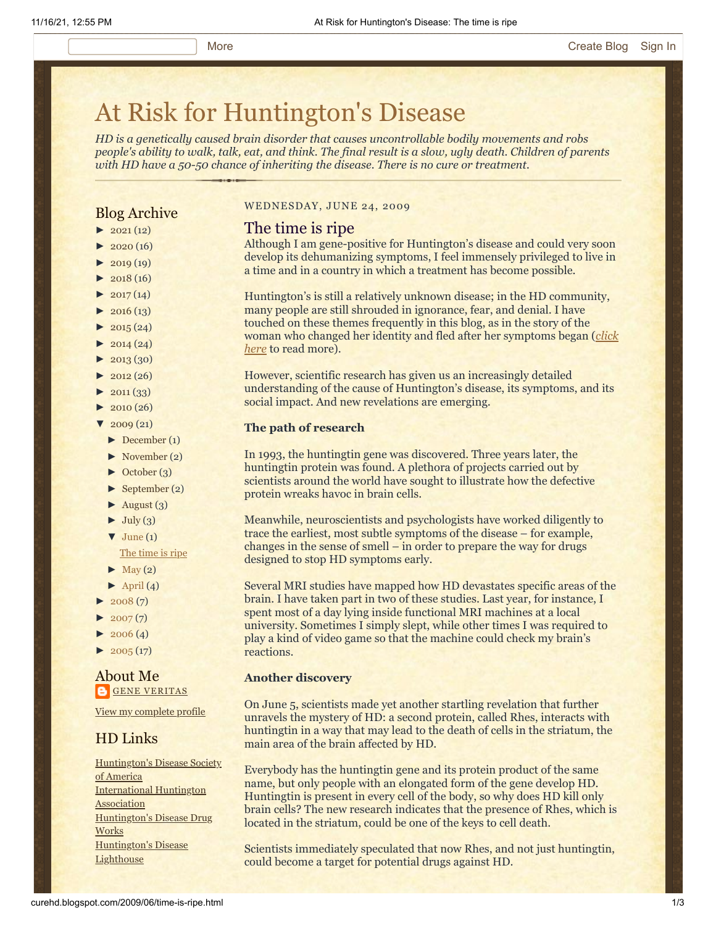# [At Risk for Huntington's Disease](http://curehd.blogspot.com/)

*HD is a genetically caused brain disorder that causes uncontrollable bodily movements and robs people's ability to walk, talk, eat, and think. The final result is a slow, ugly death. Children of parents with HD have a 50-50 chance of inheriting the disease. There is no cure or treatment.*

# Blog Archive

- $\blacktriangleright$  [2021](http://curehd.blogspot.com/2021/)(12)
- $\blacktriangleright$  [2020](http://curehd.blogspot.com/2020/) (16)
- $\blacktriangleright$  [2019](http://curehd.blogspot.com/2019/) (19)
- $\blacktriangleright$  [2018](http://curehd.blogspot.com/2018/) (16)
- $\blacktriangleright$  [2017](http://curehd.blogspot.com/2017/) (14)
- $\blacktriangleright$  [2016](http://curehd.blogspot.com/2016/) (13)
- $\blacktriangleright$  [2015](http://curehd.blogspot.com/2015/) (24)
- $\blacktriangleright$  [2014](http://curehd.blogspot.com/2014/) (24)
- $\blacktriangleright$  [2013](http://curehd.blogspot.com/2013/) (30)
- $\blacktriangleright$  [2012](http://curehd.blogspot.com/2012/) (26)
- $\blacktriangleright$  [2011](http://curehd.blogspot.com/2011/) (33)
- $\blacktriangleright$  [2010](http://curehd.blogspot.com/2010/) (26)
- $\frac{1}{2009}$  $\frac{1}{2009}$  $\frac{1}{2009}$  (21)
- $\blacktriangleright$  [December](http://curehd.blogspot.com/2009/12/) (1)
- [►](javascript:void(0)) [November](http://curehd.blogspot.com/2009/11/) (2)
- [►](javascript:void(0)) [October](http://curehd.blogspot.com/2009/10/) (3)
- [►](javascript:void(0)) [September](http://curehd.blogspot.com/2009/09/) (2)
- $\blacktriangleright$  [August](http://curehd.blogspot.com/2009/08/) (3)
- $\blacktriangleright$  [July](http://curehd.blogspot.com/2009/07/) (3)
- $\blacktriangledown$  [June](http://curehd.blogspot.com/2009/06/) (1) The [time](http://curehd.blogspot.com/2009/06/time-is-ripe.html) is ripe
- 
- $\blacktriangleright$  [May](http://curehd.blogspot.com/2009/05/) (2)
- $\blacktriangleright$  [April](http://curehd.blogspot.com/2009/04/) (4)
- $2008(7)$  $2008(7)$
- $2007(7)$  $2007(7)$
- $2006(4)$  $2006(4)$
- $\blacktriangleright$  [2005](http://curehd.blogspot.com/2005/) (17)

## About Me **GENE [VERITAS](https://www.blogger.com/profile/10911736205741688185)**

View my [complete](https://www.blogger.com/profile/10911736205741688185) profile

# HD Links

[Huntington's](http://www.hdsa.org/) Disease Society of America [International](http://www.huntington-assoc.com/) Huntington **Association** [Huntington's](http://hddrugworks.org/) Disease Drug **Works** [Huntington's](http://www.hdlighthouse.org/) Disease **Lighthouse** 

#### WEDNESDAY, JUNE 24, 2009

### The time is ripe

Although I am gene-positive for Huntington's disease and could very soon develop its dehumanizing symptoms, I feel immensely privileged to live in a time and in a country in which a treatment has become possible.

Huntington's is still a relatively unknown disease; in the HD community, many people are still shrouded in ignorance, fear, and denial. I have touched on these themes frequently in this blog, as in the story of the [woman who changed her identity and fled after her symptoms began \(](http://curehd.blogspot.com/2009/05/to-flee-or-to-fight.html)*click here* to read more).

However, scientific research has given us an increasingly detailed understanding of the cause of Huntington's disease, its symptoms, and its social impact. And new revelations are emerging.

#### **The path of research**

In 1993, the huntingtin gene was discovered. Three years later, the huntingtin protein was found. A plethora of projects carried out by scientists around the world have sought to illustrate how the defective protein wreaks havoc in brain cells.

Meanwhile, neuroscientists and psychologists have worked diligently to trace the earliest, most subtle symptoms of the disease – for example, changes in the sense of smell – in order to prepare the way for drugs designed to stop HD symptoms early.

Several MRI studies have mapped how HD devastates specific areas of the brain. I have taken part in two of these studies. Last year, for instance, I spent most of a day lying inside functional MRI machines at a local university. Sometimes I simply slept, while other times I was required to play a kind of video game so that the machine could check my brain's reactions.

#### **Another discovery**

On June 5, scientists made yet another startling revelation that further unravels the mystery of HD: a second protein, called Rhes, interacts with huntingtin in a way that may lead to the death of cells in the striatum, the main area of the brain affected by HD.

Everybody has the huntingtin gene and its protein product of the same name, but only people with an elongated form of the gene develop HD. Huntingtin is present in every cell of the body, so why does HD kill only brain cells? The new research indicates that the presence of Rhes, which is located in the striatum, could be one of the keys to cell death.

Scientists immediately speculated that now Rhes, and not just huntingtin, could become a target for potential drugs against HD.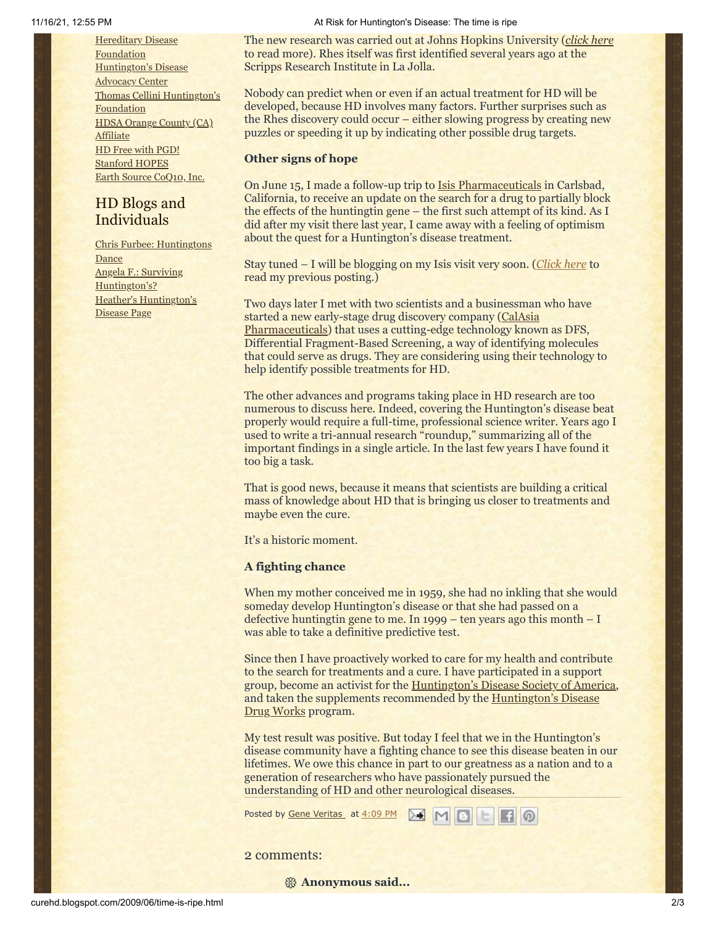**Hereditary Disease [Foundation](http://www.hdfoundation.org/)** [Huntington's](http://www.hdac.org/) Disease **Advocacy Center** Thomas [Cellini Huntington's](http://www.ourtchfoundation.org/) **Foundation** HDSA [Orange](http://www.hdsaoc.org/) County (CA) **Affiliate** HD Free with [PGD!](http://www.hdfreewithpgd.com/) [Stanford](http://www.stanford.edu/group/hopes/) HOPES Earth Source [CoQ10,](http://www.escoq10.com/) Inc.

# HD Blogs and Individuals

Chris Furbee: [Huntingtons](http://www.huntingtonsdance.org/) Dance Angela F.: Surviving [Huntington's?](http://survivinghuntingtons.blogspot.com/) Heather's [Huntington's](http://heatherdugdale.angelfire.com/) Disease Page

#### 11/16/21, 12:55 PM **At Risk for Huntington's Disease: The time is ripe** At Risk for Huntington's Disease: The time is ripe

The new research was carried out at Johns Hopkins University (*[click here](http://www.usnews.com/articles/science/2009/06/05/huntingtons-disease-protein-may-have-an-accomplice.html)* to read more). Rhes itself was first identified several years ago at the Scripps Research Institute in La Jolla.

Nobody can predict when or even if an actual treatment for HD will be developed, because HD involves many factors. Further surprises such as the Rhes discovery could occur – either slowing progress by creating new puzzles or speeding it up by indicating other possible drug targets.

#### **Other signs of hope**

On June 15, I made a follow-up trip to [Isis Pharmaceuticals](http://www.isispharm.com/) in Carlsbad, California, to receive an update on the search for a drug to partially block the effects of the huntingtin gene – the first such attempt of its kind. As I did after my visit there last year, I came away with a feeling of optimism about the quest for a Huntington's disease treatment.

Stay tuned – I will be blogging on my Isis visit very soon. (*[Click here](http://curehd.blogspot.com/2008/04/building-laser-guided-missile-to-attack.html)* to read my previous posting.)

Two days later I met with two scientists and a businessman who have started a new early-stage drug discovery company (CalAsia [Pharmaceuticals\) that uses a cutting-edge technology know](http://www.calasiapharma.com/)n as DFS, Differential Fragment-Based Screening, a way of identifying molecules that could serve as drugs. They are considering using their technology to help identify possible treatments for HD.

The other advances and programs taking place in HD research are too numerous to discuss here. Indeed, covering the Huntington's disease beat properly would require a full-time, professional science writer. Years ago I used to write a tri-annual research "roundup," summarizing all of the important findings in a single article. In the last few years I have found it too big a task.

That is good news, because it means that scientists are building a critical mass of knowledge about HD that is bringing us closer to treatments and maybe even the cure.

It's a historic moment.

#### **A fighting chance**

When my mother conceived me in 1959, she had no inkling that she would someday develop Huntington's disease or that she had passed on a defective huntingtin gene to me. In 1999 – ten years ago this month – I was able to take a definitive predictive test.

Since then I have proactively worked to care for my health and contribute to the search for treatments and a cure. I have participated in a support group, become an activist for the [Huntington's Disease Society of America,](http://www.hdsa.org/) [and taken the supplements recommended by the Huntington's Disease](http://hddrugworks.org/) Drug Works program.

My test result was positive. But today I feel that we in the Huntington's disease community have a fighting chance to see this disease beaten in our lifetimes. We owe this chance in part to our greatness as a nation and to a generation of researchers who have passionately pursued the understanding of HD and other neurological diseases.

▶≼

Posted by Gene [Veritas](https://www.blogger.com/profile/03599828959793084715) at [4:09](http://curehd.blogspot.com/2009/06/time-is-ripe.html) PM

2 comments:

**Anonymous said...**